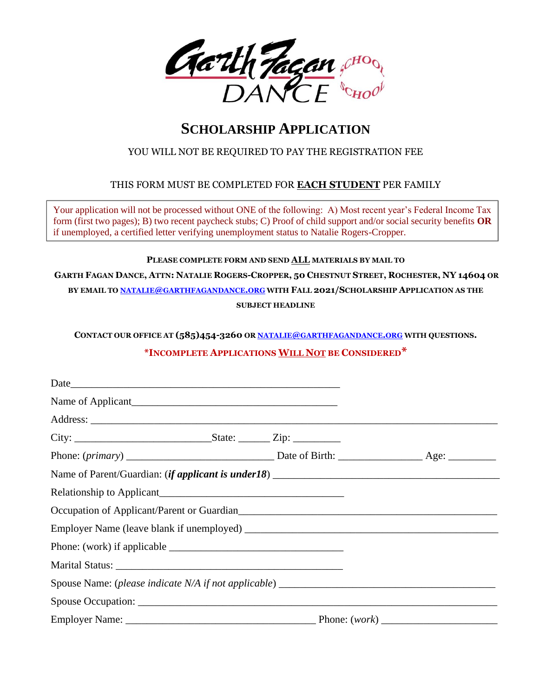

# **SCHOLARSHIP APPLICATION**

## YOU WILL NOT BE REQUIRED TO PAY THE REGISTRATION FEE

### THIS FORM MUST BE COMPLETED FOR **EACH STUDENT** PER FAMILY

Your application will not be processed without ONE of the following: A) Most recent year's Federal Income Tax form (first two pages); B) two recent paycheck stubs; C) Proof of child support and/or social security benefits **OR** if unemployed, a certified letter verifying unemployment status to Natalie Rogers-Cropper.

#### **PLEASE COMPLETE FORM AND SEND ALL MATERIALS BY MAIL TO**

GARTH FAGAN DANCE, ATTN: NATALIE ROGERS-CROPPER, 50 CHESTNUT STREET, ROCHESTER, NY 14604 OR **BY EMAIL TO NATALIE@[GARTHFAGANDANCE](mailto:natalie@garthfagandance.org).ORG WITH FALL 2021/SCHOLARSHIP APPLICATION AS THE SUBJECT HEADLINE**

**CONTACT OUR OFFICE AT (585)454-3260 OR NATALIE@[GARTHFAGANDANCE](mailto:natalie@garthfagandance.org).ORG WITH QUESTIONS.** 

## **\*INCOMPLETE APPLICATIONS WILL NOT BE CONSIDERED\***

| Name of Parent/Guardian: <i>(if applicant is under 18)</i>        |  |  |
|-------------------------------------------------------------------|--|--|
|                                                                   |  |  |
| Occupation of Applicant/Parent or Guardian<br><u>Example 2014</u> |  |  |
|                                                                   |  |  |
|                                                                   |  |  |
|                                                                   |  |  |
|                                                                   |  |  |
|                                                                   |  |  |
|                                                                   |  |  |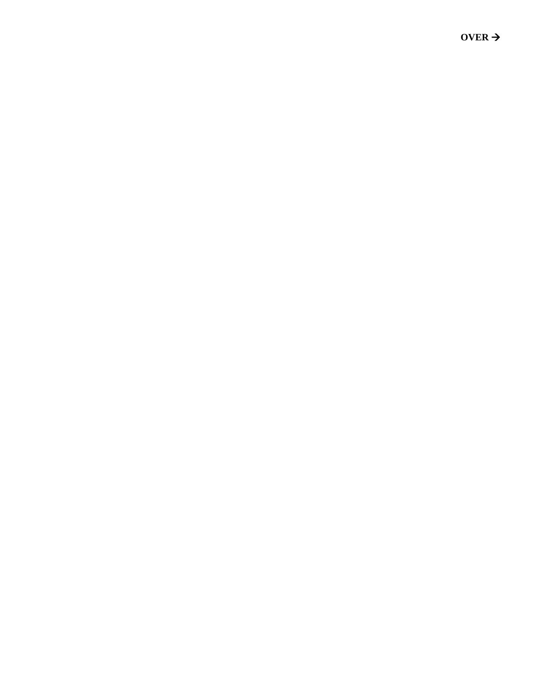OVER  $\rightarrow$